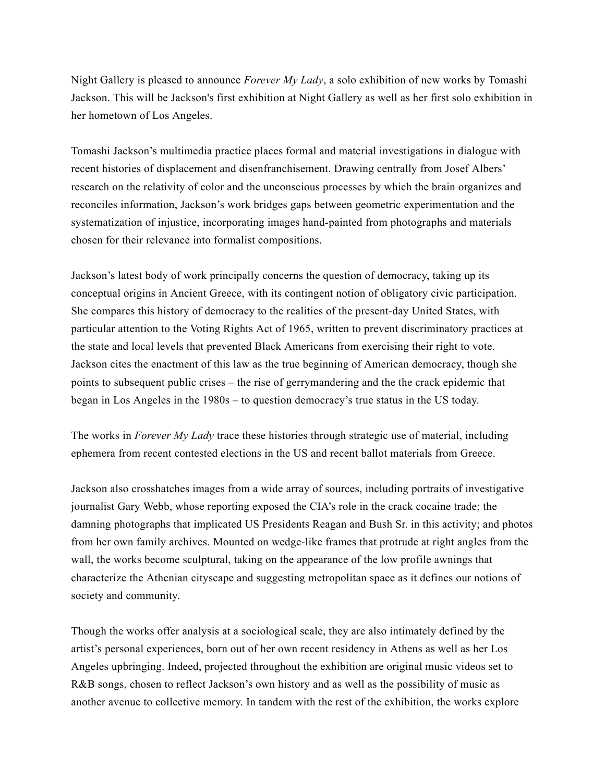Night Gallery is pleased to announce *Forever My Lady*, a solo exhibition of new works by Tomashi Jackson. This will be Jackson's first exhibition at Night Gallery as well as her first solo exhibition in her hometown of Los Angeles.

Tomashi Jackson's multimedia practice places formal and material investigations in dialogue with recent histories of displacement and disenfranchisement. Drawing centrally from Josef Albers' research on the relativity of color and the unconscious processes by which the brain organizes and reconciles information, Jackson's work bridges gaps between geometric experimentation and the systematization of injustice, incorporating images hand-painted from photographs and materials chosen for their relevance into formalist compositions.

Jackson's latest body of work principally concerns the question of democracy, taking up its conceptual origins in Ancient Greece, with its contingent notion of obligatory civic participation. She compares this history of democracy to the realities of the present-day United States, with particular attention to the Voting Rights Act of 1965, written to prevent discriminatory practices at the state and local levels that prevented Black Americans from exercising their right to vote. Jackson cites the enactment of this law as the true beginning of American democracy, though she points to subsequent public crises – the rise of gerrymandering and the the crack epidemic that began in Los Angeles in the 1980s – to question democracy's true status in the US today.

The works in *Forever My Lady* trace these histories through strategic use of material, including ephemera from recent contested elections in the US and recent ballot materials from Greece.

Jackson also crosshatches images from a wide array of sources, including portraits of investigative journalist Gary Webb, whose reporting exposed the CIA's role in the crack cocaine trade; the damning photographs that implicated US Presidents Reagan and Bush Sr. in this activity; and photos from her own family archives. Mounted on wedge-like frames that protrude at right angles from the wall, the works become sculptural, taking on the appearance of the low profile awnings that characterize the Athenian cityscape and suggesting metropolitan space as it defines our notions of society and community.

Though the works offer analysis at a sociological scale, they are also intimately defined by the artist's personal experiences, born out of her own recent residency in Athens as well as her Los Angeles upbringing. Indeed, projected throughout the exhibition are original music videos set to R&B songs, chosen to reflect Jackson's own history and as well as the possibility of music as another avenue to collective memory. In tandem with the rest of the exhibition, the works explore